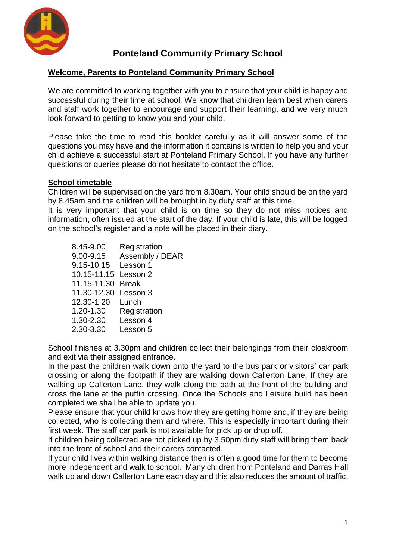

# **Ponteland Community Primary School**

#### **Welcome, Parents to Ponteland Community Primary School**

We are committed to working together with you to ensure that your child is happy and successful during their time at school. We know that children learn best when carers and staff work together to encourage and support their learning, and we very much look forward to getting to know you and your child.

Please take the time to read this booklet carefully as it will answer some of the questions you may have and the information it contains is written to help you and your child achieve a successful start at Ponteland Primary School. If you have any further questions or queries please do not hesitate to contact the office.

#### **School timetable**

Children will be supervised on the yard from 8.30am. Your child should be on the yard by 8.45am and the children will be brought in by duty staff at this time.

It is very important that your child is on time so they do not miss notices and information, often issued at the start of the day. If your child is late, this will be logged on the school's register and a note will be placed in their diary.

| 8.45-9.00            | Registration    |
|----------------------|-----------------|
| 9.00-9.15            | Assembly / DEAR |
| 9.15-10.15           | Lesson 1        |
| 10.15-11.15 Lesson 2 |                 |
| 11.15-11.30          | <b>Break</b>    |
| 11.30-12.30          | Lesson 3        |
| 12.30-1.20           | Lunch           |
| 1.20-1.30            | Registration    |
| $1.30 - 2.30$        | Lesson 4        |
| 2.30-3.30            | Lesson 5        |
|                      |                 |

School finishes at 3.30pm and children collect their belongings from their cloakroom and exit via their assigned entrance.

In the past the children walk down onto the yard to the bus park or visitors' car park crossing or along the footpath if they are walking down Callerton Lane. If they are walking up Callerton Lane, they walk along the path at the front of the building and cross the lane at the puffin crossing. Once the Schools and Leisure build has been completed we shall be able to update you.

Please ensure that your child knows how they are getting home and, if they are being collected, who is collecting them and where. This is especially important during their first week. The staff car park is not available for pick up or drop off.

If children being collected are not picked up by 3.50pm duty staff will bring them back into the front of school and their carers contacted.

If your child lives within walking distance then is often a good time for them to become more independent and walk to school. Many children from Ponteland and Darras Hall walk up and down Callerton Lane each day and this also reduces the amount of traffic.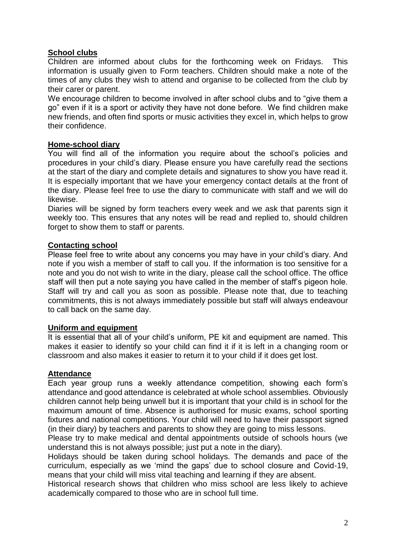#### **School clubs**

Children are informed about clubs for the forthcoming week on Fridays. This information is usually given to Form teachers. Children should make a note of the times of any clubs they wish to attend and organise to be collected from the club by their carer or parent.

We encourage children to become involved in after school clubs and to "give them a go" even if it is a sport or activity they have not done before. We find children make new friends, and often find sports or music activities they excel in, which helps to grow their confidence.

#### **Home-school diary**

You will find all of the information you require about the school's policies and procedures in your child's diary. Please ensure you have carefully read the sections at the start of the diary and complete details and signatures to show you have read it. It is especially important that we have your emergency contact details at the front of the diary. Please feel free to use the diary to communicate with staff and we will do likewise.

Diaries will be signed by form teachers every week and we ask that parents sign it weekly too. This ensures that any notes will be read and replied to, should children forget to show them to staff or parents.

#### **Contacting school**

Please feel free to write about any concerns you may have in your child's diary. And note if you wish a member of staff to call you. If the information is too sensitive for a note and you do not wish to write in the diary, please call the school office. The office staff will then put a note saying you have called in the member of staff's pigeon hole. Staff will try and call you as soon as possible. Please note that, due to teaching commitments, this is not always immediately possible but staff will always endeavour to call back on the same day.

#### **Uniform and equipment**

It is essential that all of your child's uniform, PE kit and equipment are named. This makes it easier to identify so your child can find it if it is left in a changing room or classroom and also makes it easier to return it to your child if it does get lost.

#### **Attendance**

Each year group runs a weekly attendance competition, showing each form's attendance and good attendance is celebrated at whole school assemblies. Obviously children cannot help being unwell but it is important that your child is in school for the maximum amount of time. Absence is authorised for music exams, school sporting fixtures and national competitions. Your child will need to have their passport signed (in their diary) by teachers and parents to show they are going to miss lessons.

Please try to make medical and dental appointments outside of schools hours (we understand this is not always possible; just put a note in the diary).

Holidays should be taken during school holidays. The demands and pace of the curriculum, especially as we 'mind the gaps' due to school closure and Covid-19, means that your child will miss vital teaching and learning if they are absent.

Historical research shows that children who miss school are less likely to achieve academically compared to those who are in school full time.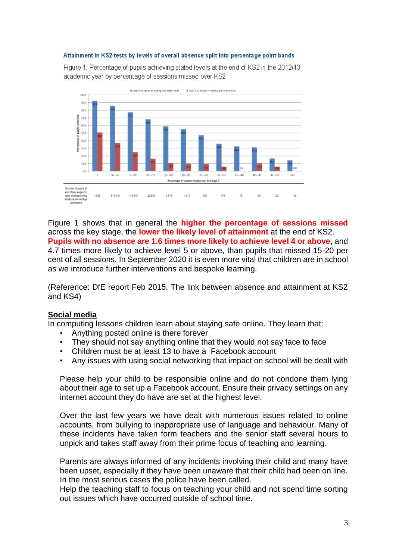#### Attainment in KS2 tests by levels of overall absence split into percentage point bands

Figure 1: Percentage of pupils achieving stated levels at the end of KS2 in the 2012/13 academic year by percentage of sessions missed over KS2



Figure 1 shows that in general the **higher the percentage of sessions missed** across the key stage, the **lower the likely level of attainment** at the end of KS2. **Pupils with no absence are 1.6 times more likely to achieve level 4 or above**, and 4.7 times more likely to achieve level 5 or above, than pupils that missed 15-20 per cent of all sessions. In September 2020 it is even more vital that children are in school as we introduce further interventions and bespoke learning.

(Reference: DfE report Feb 2015. The link between absence and attainment at KS2 and KS4)

#### **Social media**

In computing lessons children learn about staying safe online. They learn that:

- Anything posted online is there forever
- They should not say anything online that they would not say face to face
- Children must be at least 13 to have a Facebook account
- Any issues with using social networking that impact on school will be dealt with

Please help your child to be responsible online and do not condone them lying about their age to set up a Facebook account. Ensure their privacy settings on any internet account they do have are set at the highest level.

Over the last few years we have dealt with numerous issues related to online accounts, from bullying to inappropriate use of language and behaviour. Many of these incidents have taken form teachers and the senior staff several hours to unpick and takes staff away from their prime focus of teaching and learning.

Parents are always informed of any incidents involving their child and many have been upset, especially if they have been unaware that their child had been on line. In the most serious cases the police have been called.

Help the teaching staff to focus on teaching your child and not spend time sorting out issues which have occurred outside of school time.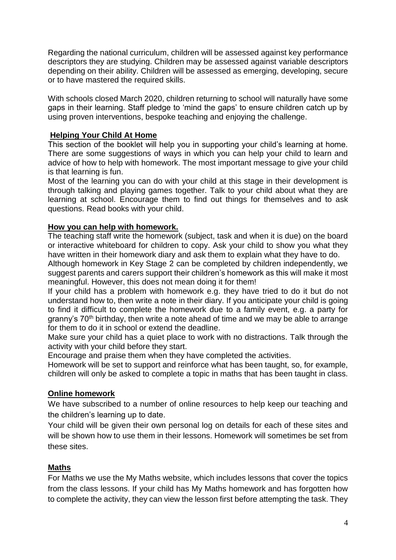Regarding the national curriculum, children will be assessed against key performance descriptors they are studying. Children may be assessed against variable descriptors depending on their ability. Children will be assessed as emerging, developing, secure or to have mastered the required skills.

With schools closed March 2020, children returning to school will naturally have some gaps in their learning. Staff pledge to 'mind the gaps' to ensure children catch up by using proven interventions, bespoke teaching and enjoying the challenge.

#### **Helping Your Child At Home**

This section of the booklet will help you in supporting your child's learning at home. There are some suggestions of ways in which you can help your child to learn and advice of how to help with homework. The most important message to give your child is that learning is fun.

Most of the learning you can do with your child at this stage in their development is through talking and playing games together. Talk to your child about what they are learning at school. Encourage them to find out things for themselves and to ask questions. Read books with your child.

#### **How you can help with homework.**

The teaching staff write the homework (subject, task and when it is due) on the board or interactive whiteboard for children to copy. Ask your child to show you what they have written in their homework diary and ask them to explain what they have to do.

Although homework in Key Stage 2 can be completed by children independently, we suggest parents and carers support their children's homework as this will make it most meaningful. However, this does not mean doing it for them!

If your child has a problem with homework e.g. they have tried to do it but do not understand how to, then write a note in their diary. If you anticipate your child is going to find it difficult to complete the homework due to a family event, e.g. a party for granny's 70<sup>th</sup> birthday, then write a note ahead of time and we may be able to arrange for them to do it in school or extend the deadline.

Make sure your child has a quiet place to work with no distractions. Talk through the activity with your child before they start.

Encourage and praise them when they have completed the activities.

Homework will be set to support and reinforce what has been taught, so, for example, children will only be asked to complete a topic in maths that has been taught in class.

## **Online homework**

We have subscribed to a number of online resources to help keep our teaching and the children's learning up to date.

Your child will be given their own personal log on details for each of these sites and will be shown how to use them in their lessons. Homework will sometimes be set from these sites.

#### **Maths**

For Maths we use the My Maths website, which includes lessons that cover the topics from the class lessons. If your child has My Maths homework and has forgotten how to complete the activity, they can view the lesson first before attempting the task. They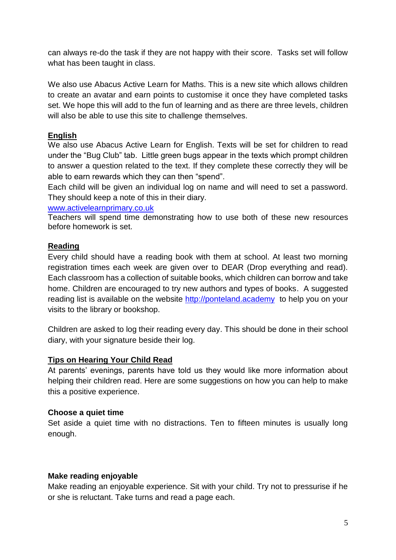can always re-do the task if they are not happy with their score. Tasks set will follow what has been taught in class.

We also use Abacus Active Learn for Maths. This is a new site which allows children to create an avatar and earn points to customise it once they have completed tasks set. We hope this will add to the fun of learning and as there are three levels, children will also be able to use this site to challenge themselves.

## **English**

We also use Abacus Active Learn for English. Texts will be set for children to read under the "Bug Club" tab. Little green bugs appear in the texts which prompt children to answer a question related to the text. If they complete these correctly they will be able to earn rewards which they can then "spend".

Each child will be given an individual log on name and will need to set a password. They should keep a note of this in their diary.

#### [www.activelearnprimary.co.uk](http://www.activelearnprimary.co.uk/)

Teachers will spend time demonstrating how to use both of these new resources before homework is set.

## **Reading**

Every child should have a reading book with them at school. At least two morning registration times each week are given over to DEAR (Drop everything and read). Each classroom has a collection of suitable books, which children can borrow and take home. Children are encouraged to try new authors and types of books. A suggested reading list is available on the website [http://ponteland.academy](http://ponteland.academy/) to help you on your visits to the library or bookshop.

Children are asked to log their reading every day. This should be done in their school diary, with your signature beside their log.

## **Tips on Hearing Your Child Read**

At parents' evenings, parents have told us they would like more information about helping their children read. Here are some suggestions on how you can help to make this a positive experience.

## **Choose a quiet time**

Set aside a quiet time with no distractions. Ten to fifteen minutes is usually long enough.

## **Make reading enjoyable**

Make reading an enjoyable experience. Sit with your child. Try not to pressurise if he or she is reluctant. Take turns and read a page each.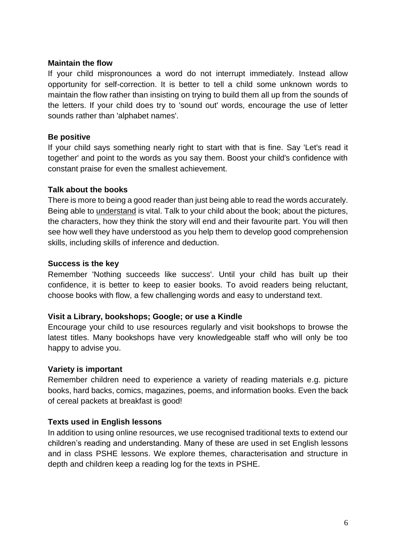#### **Maintain the flow**

If your child mispronounces a word do not interrupt immediately. Instead allow opportunity for self-correction. It is better to tell a child some unknown words to maintain the flow rather than insisting on trying to build them all up from the sounds of the letters. If your child does try to 'sound out' words, encourage the use of letter sounds rather than 'alphabet names'.

## **Be positive**

If your child says something nearly right to start with that is fine. Say 'Let's read it together' and point to the words as you say them. Boost your child's confidence with constant praise for even the smallest achievement.

## **Talk about the books**

There is more to being a good reader than just being able to read the words accurately. Being able to understand is vital. Talk to your child about the book; about the pictures, the characters, how they think the story will end and their favourite part. You will then see how well they have understood as you help them to develop good comprehension skills, including skills of inference and deduction.

## **Success is the key**

Remember 'Nothing succeeds like success'. Until your child has built up their confidence, it is better to keep to easier books. To avoid readers being reluctant, choose books with flow, a few challenging words and easy to understand text.

## **Visit a Library, bookshops; Google; or use a Kindle**

Encourage your child to use resources regularly and visit bookshops to browse the latest titles. Many bookshops have very knowledgeable staff who will only be too happy to advise you.

## **Variety is important**

Remember children need to experience a variety of reading materials e.g. picture books, hard backs, comics, magazines, poems, and information books. Even the back of cereal packets at breakfast is good!

## **Texts used in English lessons**

In addition to using online resources, we use recognised traditional texts to extend our children's reading and understanding. Many of these are used in set English lessons and in class PSHE lessons. We explore themes, characterisation and structure in depth and children keep a reading log for the texts in PSHE.